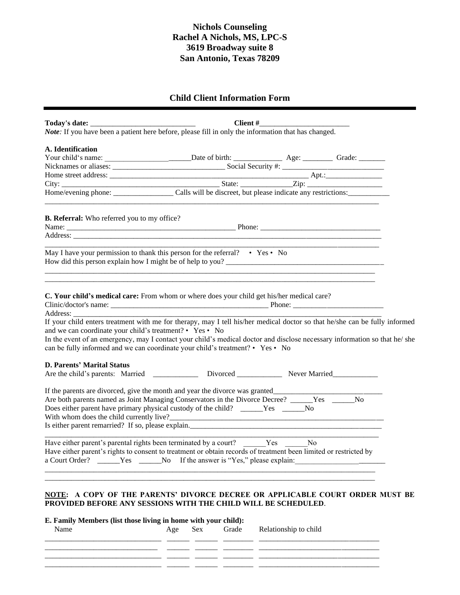## **Nichols Counseling Rachel A Nichols, MS, LPC-S 3619 Broadway suite 8 San Antonio, Texas 78209**

## **Child Client Information Form**

|                                                                                                                                                                                                                                                                                                                                                                                                                                                                                                     |                                                                                                            | Client# |           |
|-----------------------------------------------------------------------------------------------------------------------------------------------------------------------------------------------------------------------------------------------------------------------------------------------------------------------------------------------------------------------------------------------------------------------------------------------------------------------------------------------------|------------------------------------------------------------------------------------------------------------|---------|-----------|
|                                                                                                                                                                                                                                                                                                                                                                                                                                                                                                     | <b>Note:</b> If you have been a patient here before, please fill in only the information that has changed. |         |           |
| A. Identification                                                                                                                                                                                                                                                                                                                                                                                                                                                                                   |                                                                                                            |         |           |
|                                                                                                                                                                                                                                                                                                                                                                                                                                                                                                     |                                                                                                            |         |           |
|                                                                                                                                                                                                                                                                                                                                                                                                                                                                                                     |                                                                                                            |         |           |
|                                                                                                                                                                                                                                                                                                                                                                                                                                                                                                     |                                                                                                            |         |           |
|                                                                                                                                                                                                                                                                                                                                                                                                                                                                                                     |                                                                                                            |         |           |
|                                                                                                                                                                                                                                                                                                                                                                                                                                                                                                     |                                                                                                            |         |           |
| <b>B. Referral:</b> Who referred you to my office?                                                                                                                                                                                                                                                                                                                                                                                                                                                  |                                                                                                            |         |           |
|                                                                                                                                                                                                                                                                                                                                                                                                                                                                                                     |                                                                                                            |         |           |
|                                                                                                                                                                                                                                                                                                                                                                                                                                                                                                     |                                                                                                            |         |           |
| May I have your permission to thank this person for the referral? • Yes • No<br>How did this person explain how I might be of help to you?                                                                                                                                                                                                                                                                                                                                                          |                                                                                                            |         |           |
| C. Your child's medical care: From whom or where does your child get his/her medical care?<br>If your child enters treatment with me for therapy, may I tell his/her medical doctor so that he/she can be fully informed<br>and we can coordinate your child's treatment? • Yes • No<br>In the event of an emergency, may I contact your child's medical doctor and disclose necessary information so that he/she<br>can be fully informed and we can coordinate your child's treatment? • Yes • No |                                                                                                            |         |           |
| <b>D. Parents' Marital Status</b>                                                                                                                                                                                                                                                                                                                                                                                                                                                                   |                                                                                                            |         |           |
| Are the child's parents: Married ____________ Divorced __________ Never Married __________                                                                                                                                                                                                                                                                                                                                                                                                          |                                                                                                            |         |           |
|                                                                                                                                                                                                                                                                                                                                                                                                                                                                                                     |                                                                                                            |         |           |
|                                                                                                                                                                                                                                                                                                                                                                                                                                                                                                     |                                                                                                            |         |           |
|                                                                                                                                                                                                                                                                                                                                                                                                                                                                                                     |                                                                                                            |         | <b>No</b> |
| Are both parents named as Joint Managing Conservators in the Divorce Decree? _____Yes ______<br>Does either parent have primary physical custody of the child? _____Yes _____No                                                                                                                                                                                                                                                                                                                     |                                                                                                            |         |           |
|                                                                                                                                                                                                                                                                                                                                                                                                                                                                                                     |                                                                                                            |         |           |
| Have either parent's rights to consent to treatment or obtain records of treatment been limited or restricted by<br>a Court Order? ______Yes ______No If the answer is "Yes," please explain:                                                                                                                                                                                                                                                                                                       |                                                                                                            |         |           |
| Have either parent's parental rights been terminated by a court? _______Yes _______No                                                                                                                                                                                                                                                                                                                                                                                                               |                                                                                                            |         |           |
|                                                                                                                                                                                                                                                                                                                                                                                                                                                                                                     |                                                                                                            |         |           |

## **E. Family Members (list those living in home with your child):**

| in the group of the contract of the contract of the contract of the contract of the contract of the contract of<br>Name |  | Age Sex Grade Relationship to child |
|-------------------------------------------------------------------------------------------------------------------------|--|-------------------------------------|
|                                                                                                                         |  |                                     |
|                                                                                                                         |  |                                     |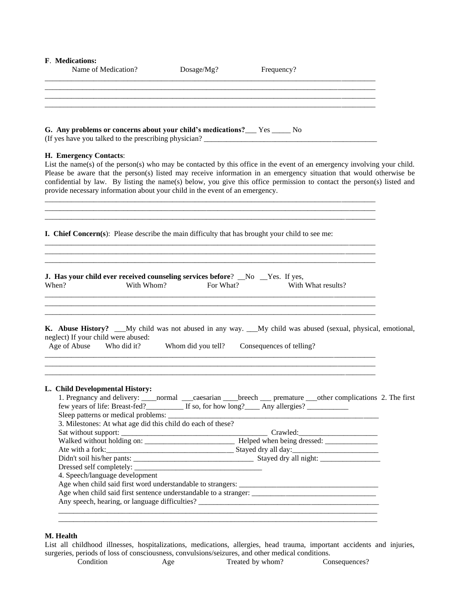| F. Medications:<br>Name of Medication?                                                                 | Dosage/Mg?         | Frequency?                                                                                                                                                                                                                                                                                                                                                                |
|--------------------------------------------------------------------------------------------------------|--------------------|---------------------------------------------------------------------------------------------------------------------------------------------------------------------------------------------------------------------------------------------------------------------------------------------------------------------------------------------------------------------------|
|                                                                                                        |                    |                                                                                                                                                                                                                                                                                                                                                                           |
| G. Any problems or concerns about your child's medications? Fig. These No                              |                    |                                                                                                                                                                                                                                                                                                                                                                           |
| H. Emergency Contacts:<br>provide necessary information about your child in the event of an emergency. |                    | List the name(s) of the person(s) who may be contacted by this office in the event of an emergency involving your child.<br>Please be aware that the person(s) listed may receive information in an emergency situation that would otherwise be<br>confidential by law. By listing the name(s) below, you give this office permission to contact the person(s) listed and |
| <b>I. Chief Concern(s):</b> Please describe the main difficulty that has brought your child to see me: |                    |                                                                                                                                                                                                                                                                                                                                                                           |
| J. Has your child ever received counseling services before? No Yes. If yes,<br>With Whom?<br>When?     | For What?          | With What results?                                                                                                                                                                                                                                                                                                                                                        |
| neglect) If your child were abused:<br>Age of Abuse<br>Who did it?                                     | Whom did you tell? | K. Abuse History? __My child was not abused in any way. __My child was abused (sexual, physical, emotional,<br>Consequences of telling?                                                                                                                                                                                                                                   |
| L. Child Developmental History:                                                                        |                    | 1. Pregnancy and delivery: _____normal _____caesarian _____breech _____ premature ____other complications 2. The first                                                                                                                                                                                                                                                    |
| 3. Milestones: At what age did this child do each of these?                                            |                    |                                                                                                                                                                                                                                                                                                                                                                           |
|                                                                                                        |                    |                                                                                                                                                                                                                                                                                                                                                                           |
|                                                                                                        |                    |                                                                                                                                                                                                                                                                                                                                                                           |
|                                                                                                        |                    |                                                                                                                                                                                                                                                                                                                                                                           |
| 4. Speech/language development                                                                         |                    |                                                                                                                                                                                                                                                                                                                                                                           |
|                                                                                                        |                    |                                                                                                                                                                                                                                                                                                                                                                           |
|                                                                                                        |                    |                                                                                                                                                                                                                                                                                                                                                                           |
|                                                                                                        |                    |                                                                                                                                                                                                                                                                                                                                                                           |
|                                                                                                        |                    |                                                                                                                                                                                                                                                                                                                                                                           |

## **M. Health**

List all childhood illnesses, hospitalizations, medications, allergies, head trauma, important accidents and injuries, surgeries, periods of loss of consciousness, convulsions/seizures, and other medical conditions.